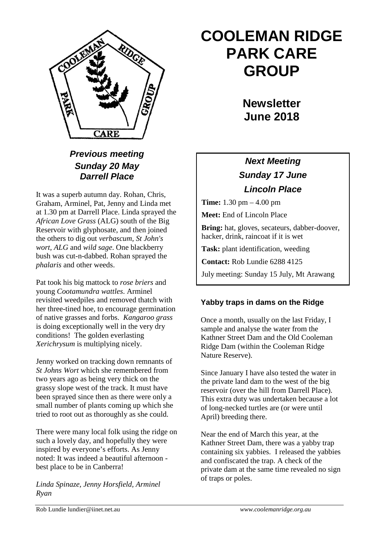

### *Previous meeting Sunday 20 May Darrell Place*

It was a superb autumn day. Rohan, Chris, Graham, Arminel, Pat, Jenny and Linda met at 1.30 pm at Darrell Place. Linda sprayed the *African Love Grass* (ALG) south of the Big Reservoir with glyphosate, and then joined the others to dig out *verbascum, St John's wort, ALG* and *wild sage*. One blackberry bush was cut-n-dabbed. Rohan sprayed the *phalaris* and other weeds.

Pat took his big mattock to *rose briers* and young *Cootamundra wattles*. Arminel revisited weedpiles and removed thatch with her three-tined hoe, to encourage germination of native grasses and forbs. *Kangaroo grass* is doing exceptionally well in the very dry conditions! The golden everlasting *Xerichrysum* is multiplying nicely.

Jenny worked on tracking down remnants of *St Johns Wort* which she remembered from two years ago as being very thick on the grassy slope west of the track. It must have been sprayed since then as there were only a small number of plants coming up which she tried to root out as thoroughly as she could.

There were many local folk using the ridge on such a lovely day, and hopefully they were inspired by everyone's efforts. As Jenny noted: It was indeed a beautiful afternoon best place to be in Canberra!

*Linda Spinaze, Jenny Horsfield, Arminel Ryan*

# **COOLEMAN RIDGE PARK CARE GROUP**

**Newsletter June 2018** 

## *Next Meeting Sunday 17 June Lincoln Place*

**Time:** 1.30 pm – 4.00 pm

**Meet:** End of Lincoln Place

**Bring:** hat, gloves, secateurs, dabber-doover, hacker, drink, raincoat if it is wet

**Task:** plant identification, weeding

**Contact:** Rob Lundie 6288 4125

July meeting: Sunday 15 July, Mt Arawang

#### **Yabby traps in dams on the Ridge**

Once a month, usually on the last Friday, I sample and analyse the water from the Kathner Street Dam and the Old Cooleman Ridge Dam (within the Cooleman Ridge Nature Reserve).

Since January I have also tested the water in the private land dam to the west of the big reservoir (over the hill from Darrell Place). This extra duty was undertaken because a lot of long-necked turtles are (or were until April) breeding there.

Near the end of March this year, at the Kathner Street Dam, there was a yabby trap containing six yabbies. I released the yabbies and confiscated the trap. A check of the private dam at the same time revealed no sign of traps or poles.